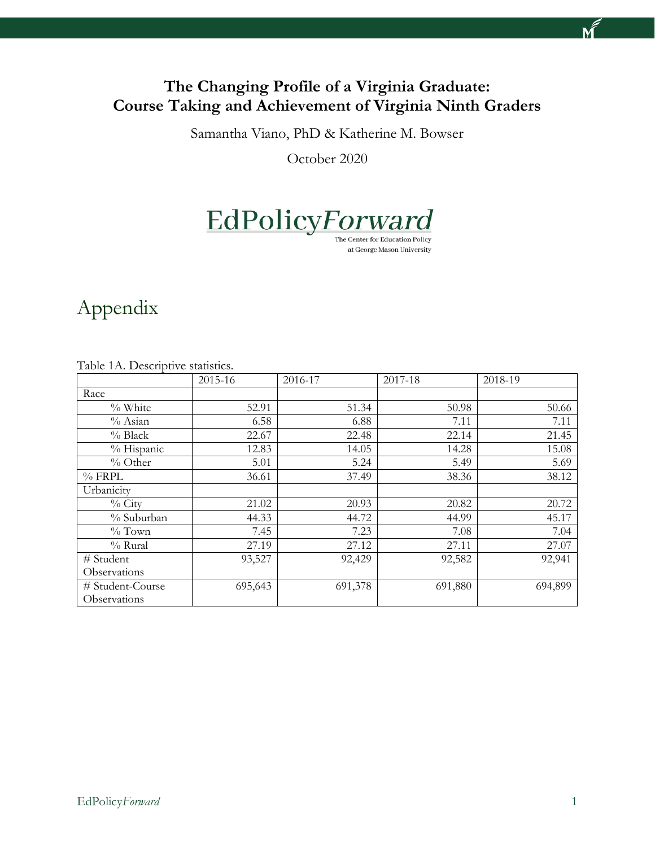## **The Changing Profile of a Virginia Graduate: Course Taking and Achievement of Virginia Ninth Graders**

Samantha Viano, PhD & Katherine M. Bowser

October 2020

## EdPolicyForward

The Center for Education Policy at George Mason University

## Appendix

|                  | 2015-16 | 2016-17 | 2017-18 | 2018-19 |
|------------------|---------|---------|---------|---------|
| Race             |         |         |         |         |
| % White          | 52.91   | 51.34   | 50.98   | 50.66   |
| % Asian          | 6.58    | 6.88    | 7.11    | 7.11    |
| $%$ Black        | 22.67   | 22.48   | 22.14   | 21.45   |
| % Hispanic       | 12.83   | 14.05   | 14.28   | 15.08   |
| $%$ Other        | 5.01    | 5.24    | 5.49    | 5.69    |
| $%$ FRPL         | 36.61   | 37.49   | 38.36   | 38.12   |
| Urbanicity       |         |         |         |         |
| $%$ City         | 21.02   | 20.93   | 20.82   | 20.72   |
| % Suburban       | 44.33   | 44.72   | 44.99   | 45.17   |
| $\%$ Town        | 7.45    | 7.23    | 7.08    | 7.04    |
| $%$ Rural        | 27.19   | 27.12   | 27.11   | 27.07   |
| # Student        | 93,527  | 92,429  | 92,582  | 92,941  |
| Observations     |         |         |         |         |
| # Student-Course | 695,643 | 691,378 | 691,880 | 694,899 |
| Observations     |         |         |         |         |

Table 1A. Descriptive statistics.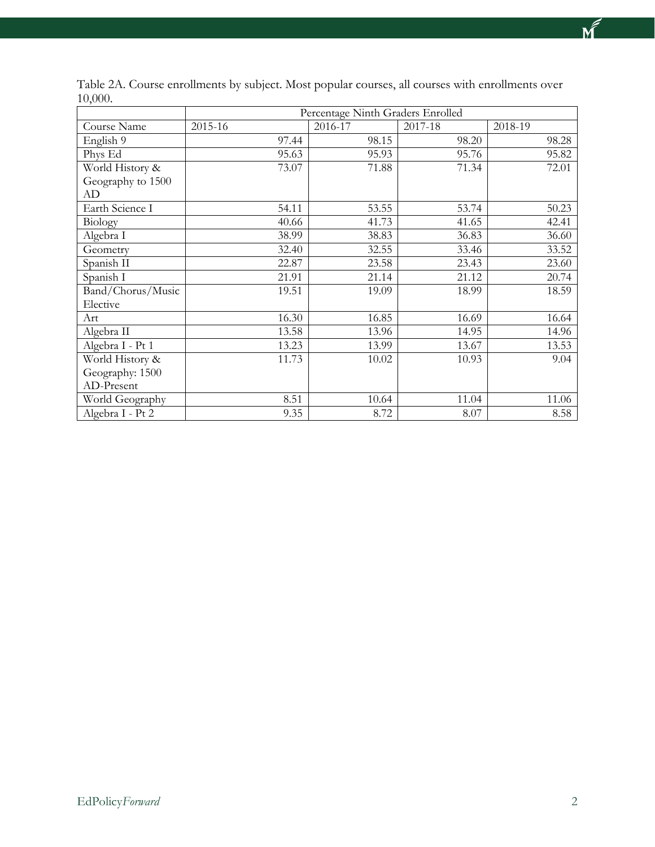|                         | Percentage Ninth Graders Enrolled |         |         |         |  |
|-------------------------|-----------------------------------|---------|---------|---------|--|
| Course Name             | 2015-16                           | 2016-17 | 2017-18 | 2018-19 |  |
| English 9               | 97.44                             | 98.15   | 98.20   | 98.28   |  |
| Phys Ed                 | 95.63                             | 95.93   | 95.76   | 95.82   |  |
| World History &         | 73.07                             | 71.88   | 71.34   | 72.01   |  |
| Geography to 1500<br>AD |                                   |         |         |         |  |
| Earth Science I         | 54.11                             | 53.55   | 53.74   | 50.23   |  |
| Biology                 | 40.66                             | 41.73   | 41.65   | 42.41   |  |
| Algebra I               | 38.99                             | 38.83   | 36.83   | 36.60   |  |
| Geometry                | 32.40                             | 32.55   | 33.46   | 33.52   |  |
| Spanish II              | 22.87                             | 23.58   | 23.43   | 23.60   |  |
| Spanish I               | 21.91                             | 21.14   | 21.12   | 20.74   |  |
| Band/Chorus/Music       | 19.51                             | 19.09   | 18.99   | 18.59   |  |
| Elective                |                                   |         |         |         |  |
| Art                     | 16.30                             | 16.85   | 16.69   | 16.64   |  |
| Algebra II              | 13.58                             | 13.96   | 14.95   | 14.96   |  |
| Algebra I - Pt 1        | 13.23                             | 13.99   | 13.67   | 13.53   |  |
| World History &         | 11.73                             | 10.02   | 10.93   | 9.04    |  |
| Geography: 1500         |                                   |         |         |         |  |
| AD-Present              |                                   |         |         |         |  |
| World Geography         | 8.51                              | 10.64   | 11.04   | 11.06   |  |
| Algebra I - Pt 2        | 9.35                              | 8.72    | 8.07    | 8.58    |  |

Table 2A. Course enrollments by subject. Most popular courses, all courses with enrollments over 10,000.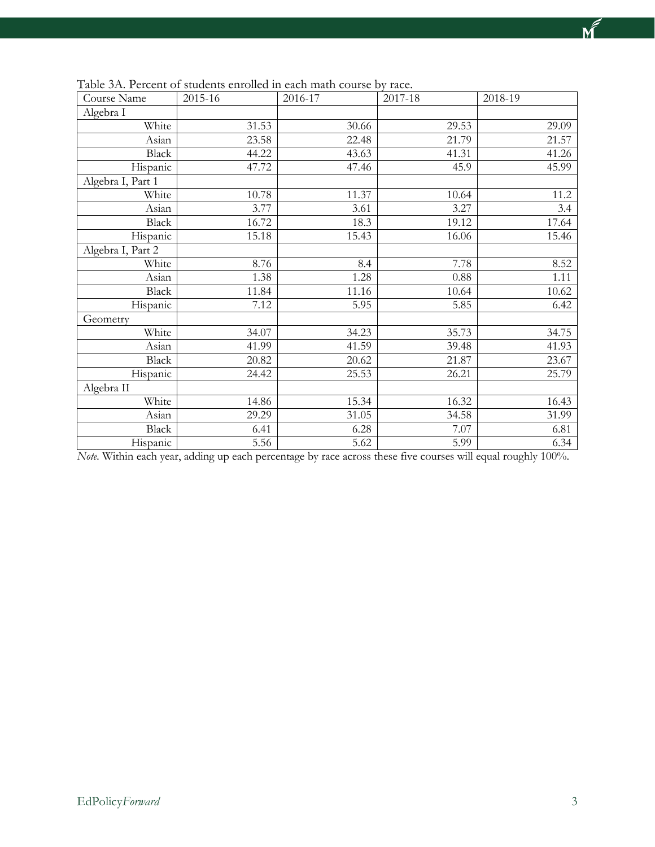| Course Name       | 2015-16 | 2016-17 | 2017-18 | 2018-19 |
|-------------------|---------|---------|---------|---------|
| Algebra I         |         |         |         |         |
| White             | 31.53   | 30.66   | 29.53   | 29.09   |
| Asian             | 23.58   | 22.48   | 21.79   | 21.57   |
| <b>Black</b>      | 44.22   | 43.63   | 41.31   | 41.26   |
| Hispanic          | 47.72   | 47.46   | 45.9    | 45.99   |
| Algebra I, Part 1 |         |         |         |         |
| White             | 10.78   | 11.37   | 10.64   | 11.2    |
| Asian             | 3.77    | 3.61    | 3.27    | 3.4     |
| <b>Black</b>      | 16.72   | 18.3    | 19.12   | 17.64   |
| Hispanic          | 15.18   | 15.43   | 16.06   | 15.46   |
| Algebra I, Part 2 |         |         |         |         |
| White             | 8.76    | 8.4     | 7.78    | 8.52    |
| Asian             | 1.38    | 1.28    | 0.88    | 1.11    |
| Black             | 11.84   | 11.16   | 10.64   | 10.62   |
| Hispanic          | 7.12    | 5.95    | 5.85    | 6.42    |
| Geometry          |         |         |         |         |
| White             | 34.07   | 34.23   | 35.73   | 34.75   |
| Asian             | 41.99   | 41.59   | 39.48   | 41.93   |
| <b>Black</b>      | 20.82   | 20.62   | 21.87   | 23.67   |
| Hispanic          | 24.42   | 25.53   | 26.21   | 25.79   |
| Algebra II        |         |         |         |         |
| White             | 14.86   | 15.34   | 16.32   | 16.43   |
| Asian             | 29.29   | 31.05   | 34.58   | 31.99   |
| <b>Black</b>      | 6.41    | 6.28    | 7.07    | 6.81    |
| Hispanic          | 5.56    | 5.62    | 5.99    | 6.34    |

Table 3A. Percent of students enrolled in each math course by race.

*Note.* Within each year, adding up each percentage by race across these five courses will equal roughly 100%.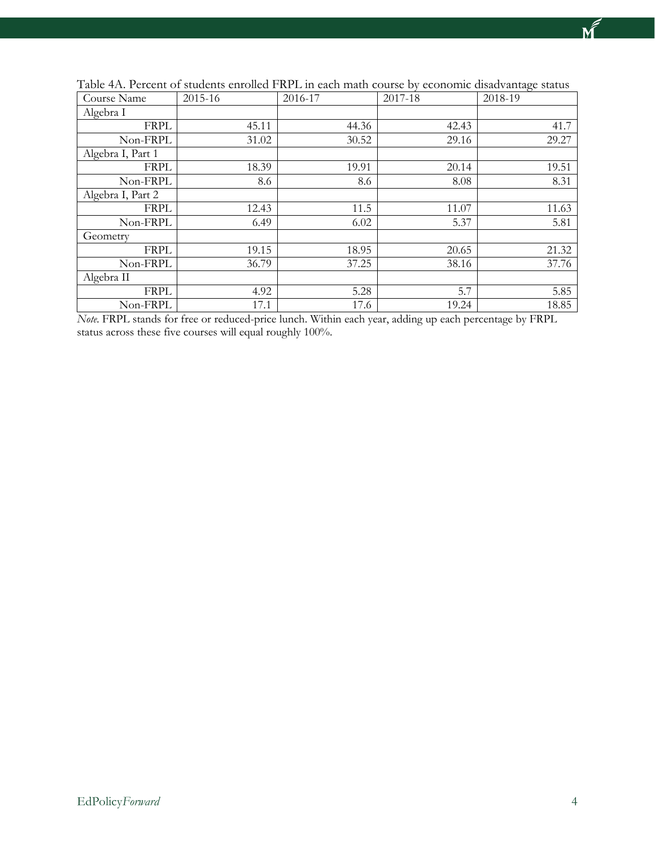| Course Name       | 2015-16 | 2016-17 | 2017-18 | 2018-19 |
|-------------------|---------|---------|---------|---------|
| Algebra I         |         |         |         |         |
| <b>FRPL</b>       | 45.11   | 44.36   | 42.43   | 41.7    |
| Non-FRPL          | 31.02   | 30.52   | 29.16   | 29.27   |
| Algebra I, Part 1 |         |         |         |         |
| <b>FRPL</b>       | 18.39   | 19.91   | 20.14   | 19.51   |
| Non-FRPL          | 8.6     | 8.6     | 8.08    | 8.31    |
| Algebra I, Part 2 |         |         |         |         |
| <b>FRPL</b>       | 12.43   | 11.5    | 11.07   | 11.63   |
| Non-FRPL          | 6.49    | 6.02    | 5.37    | 5.81    |
| Geometry          |         |         |         |         |
| <b>FRPL</b>       | 19.15   | 18.95   | 20.65   | 21.32   |
| Non-FRPL          | 36.79   | 37.25   | 38.16   | 37.76   |
| Algebra II        |         |         |         |         |
| <b>FRPL</b>       | 4.92    | 5.28    | 5.7     | 5.85    |
| Non-FRPL          | 17.1    | 17.6    | 19.24   | 18.85   |

Table 4A. Percent of students enrolled FRPL in each math course by economic disadvantage status

*Note.* FRPL stands for free or reduced-price lunch. Within each year, adding up each percentage by FRPL status across these five courses will equal roughly 100%.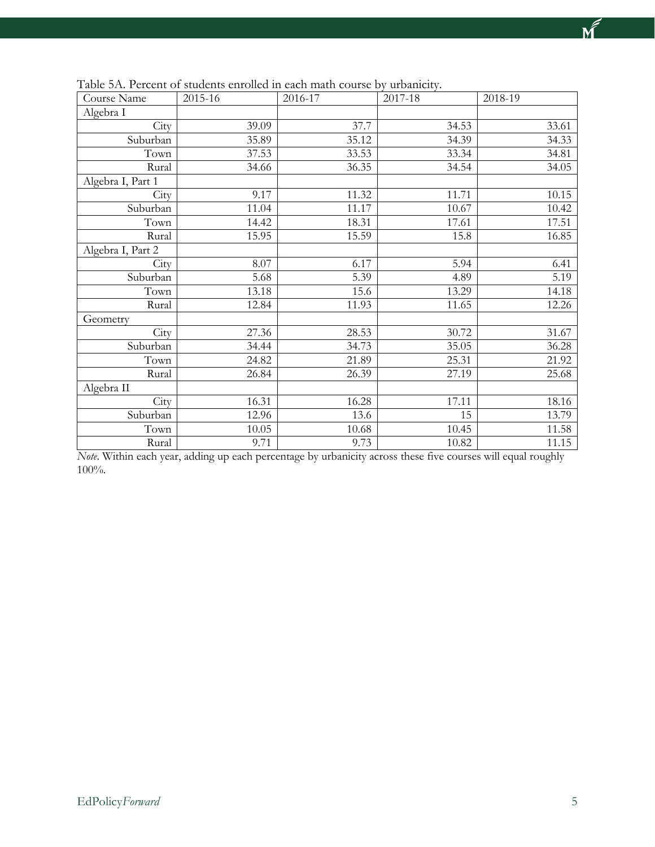| Course Name           | 2015-16 | 2016-17 | 2017-18 | 2018-19 |
|-----------------------|---------|---------|---------|---------|
| Algebra I             |         |         |         |         |
| City                  | 39.09   | 37.7    | 34.53   | 33.61   |
| Suburban              | 35.89   | 35.12   | 34.39   | 34.33   |
| $\operatorname{Town}$ | 37.53   | 33.53   | 33.34   | 34.81   |
| Rural                 | 34.66   | 36.35   | 34.54   | 34.05   |
| Algebra I, Part 1     |         |         |         |         |
| City                  | 9.17    | 11.32   | 11.71   | 10.15   |
| Suburban              | 11.04   | 11.17   | 10.67   | 10.42   |
| Town                  | 14.42   | 18.31   | 17.61   | 17.51   |
| Rural                 | 15.95   | 15.59   | 15.8    | 16.85   |
| Algebra I, Part 2     |         |         |         |         |
| City                  | 8.07    | 6.17    | 5.94    | 6.41    |
| Suburban              | 5.68    | 5.39    | 4.89    | 5.19    |
| Town                  | 13.18   | 15.6    | 13.29   | 14.18   |
| Rural                 | 12.84   | 11.93   | 11.65   | 12.26   |
| Geometry              |         |         |         |         |
| City                  | 27.36   | 28.53   | 30.72   | 31.67   |
| Suburban              | 34.44   | 34.73   | 35.05   | 36.28   |
| Town                  | 24.82   | 21.89   | 25.31   | 21.92   |
| Rural                 | 26.84   | 26.39   | 27.19   | 25.68   |
| Algebra II            |         |         |         |         |
| City                  | 16.31   | 16.28   | 17.11   | 18.16   |
| Suburban              | 12.96   | 13.6    | 15      | 13.79   |
| $\operatorname{Town}$ | 10.05   | 10.68   | 10.45   | 11.58   |
| Rural                 | 9.71    | 9.73    | 10.82   | 11.15   |

Table 5A. Percent of students enrolled in each math course by urbanicity.

*Note*. Within each year, adding up each percentage by urbanicity across these five courses will equal roughly 100%.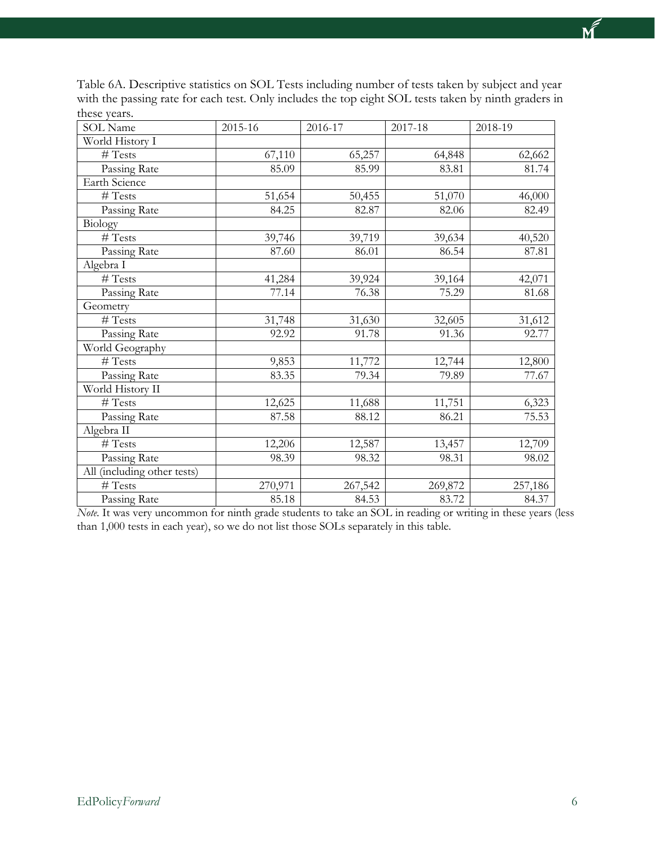Table 6A. Descriptive statistics on SOL Tests including number of tests taken by subject and year with the passing rate for each test. Only includes the top eight SOL tests taken by ninth graders in these years.

| <b>SOL</b> Name             | 2015-16 | 2016-17 | 2017-18 | 2018-19 |
|-----------------------------|---------|---------|---------|---------|
| World History I             |         |         |         |         |
| # Tests                     | 67,110  | 65,257  | 64,848  | 62,662  |
| Passing Rate                | 85.09   | 85.99   | 83.81   | 81.74   |
| Earth Science               |         |         |         |         |
| # Tests                     | 51,654  | 50,455  | 51,070  | 46,000  |
| Passing Rate                | 84.25   | 82.87   | 82.06   | 82.49   |
| <b>Biology</b>              |         |         |         |         |
| $\#$ Tests                  | 39,746  | 39,719  | 39,634  | 40,520  |
| Passing Rate                | 87.60   | 86.01   | 86.54   | 87.81   |
| Algebra I                   |         |         |         |         |
| # Tests                     | 41,284  | 39,924  | 39,164  | 42,071  |
| Passing Rate                | 77.14   | 76.38   | 75.29   | 81.68   |
| Geometry                    |         |         |         |         |
| # Tests                     | 31,748  | 31,630  | 32,605  | 31,612  |
| Passing Rate                | 92.92   | 91.78   | 91.36   | 92.77   |
| World Geography             |         |         |         |         |
| # Tests                     | 9,853   | 11,772  | 12,744  | 12,800  |
| Passing Rate                | 83.35   | 79.34   | 79.89   | 77.67   |
| World History II            |         |         |         |         |
| # Tests                     | 12,625  | 11,688  | 11,751  | 6,323   |
| Passing Rate                | 87.58   | 88.12   | 86.21   | 75.53   |
| Algebra II                  |         |         |         |         |
| # Tests                     | 12,206  | 12,587  | 13,457  | 12,709  |
| Passing Rate                | 98.39   | 98.32   | 98.31   | 98.02   |
| All (including other tests) |         |         |         |         |
| # Tests                     | 270,971 | 267,542 | 269,872 | 257,186 |
| Passing Rate                | 85.18   | 84.53   | 83.72   | 84.37   |

*Note.* It was very uncommon for ninth grade students to take an SOL in reading or writing in these years (less than 1,000 tests in each year), so we do not list those SOLs separately in this table.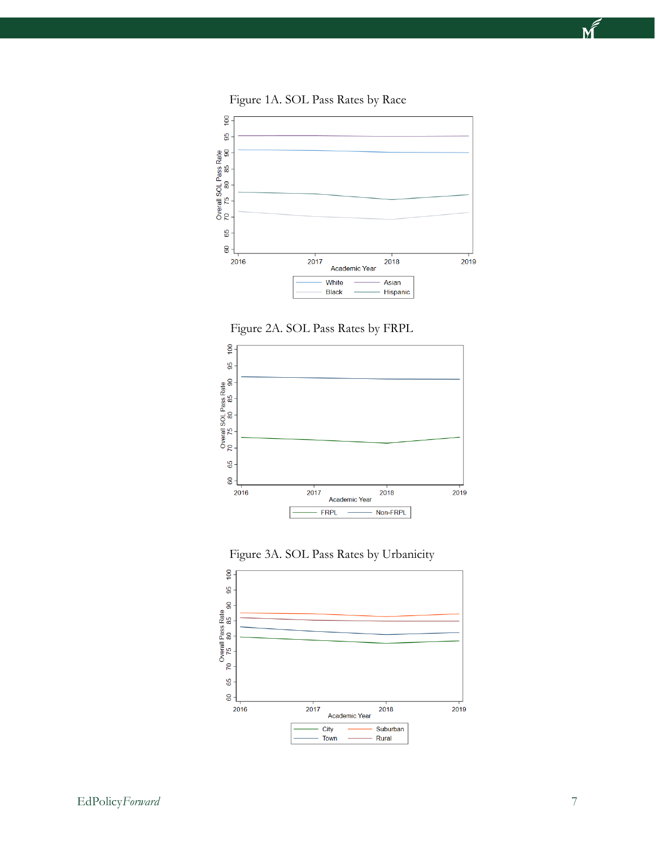

Figure 1A. SOL Pass Rates by Race







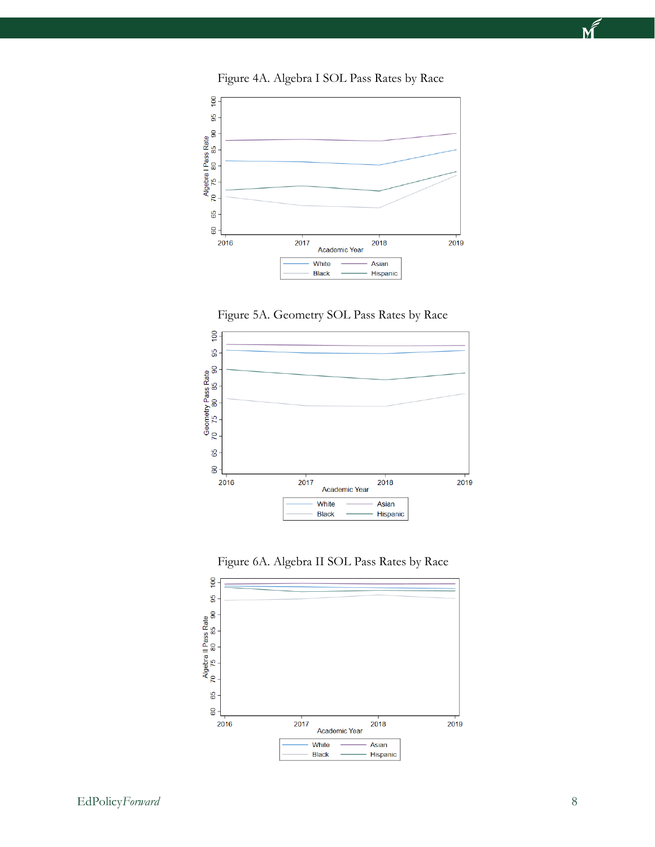







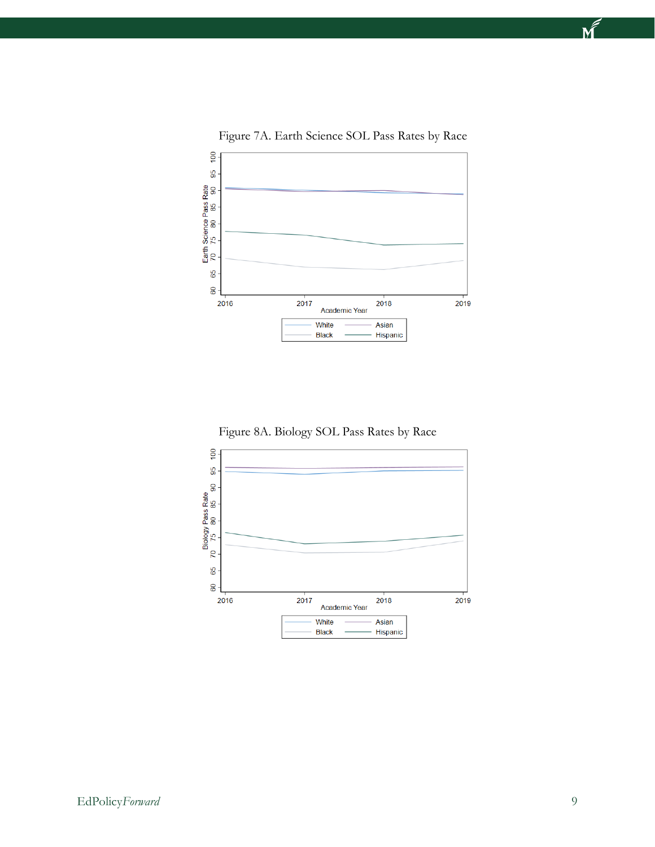

Figure 7A. Earth Science SOL Pass Rates by Race

Figure 8A. Biology SOL Pass Rates by Race

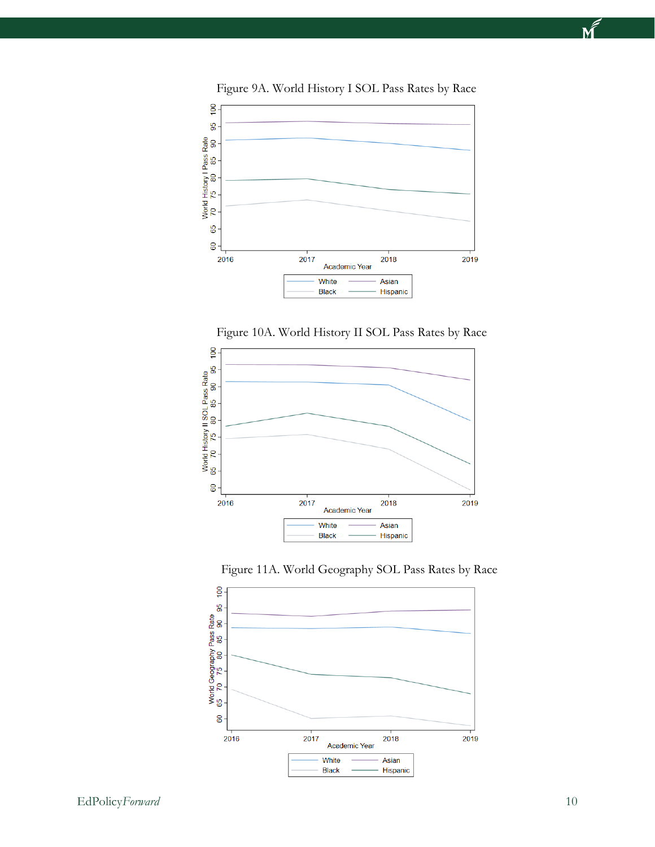

Figure 9A. World History I SOL Pass Rates by Race







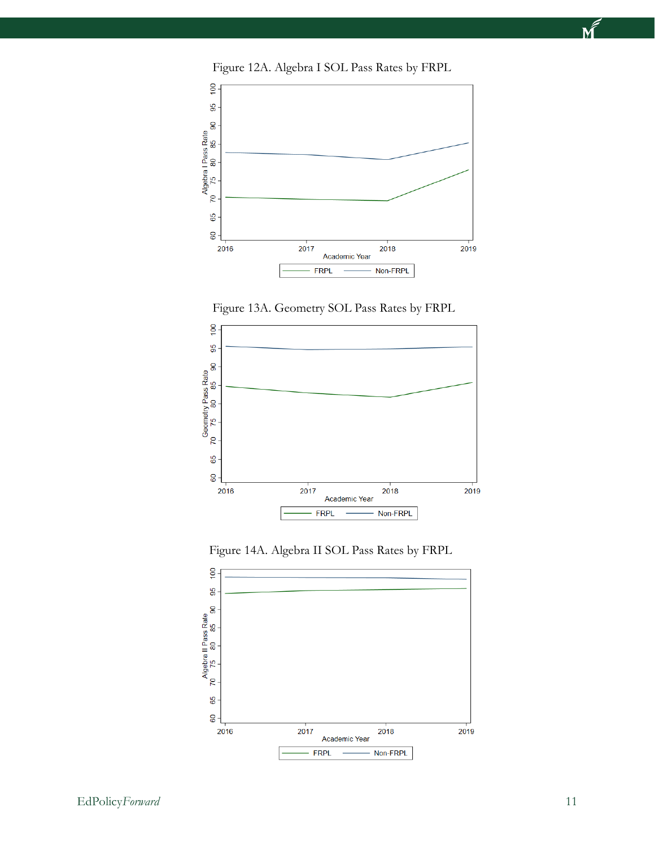









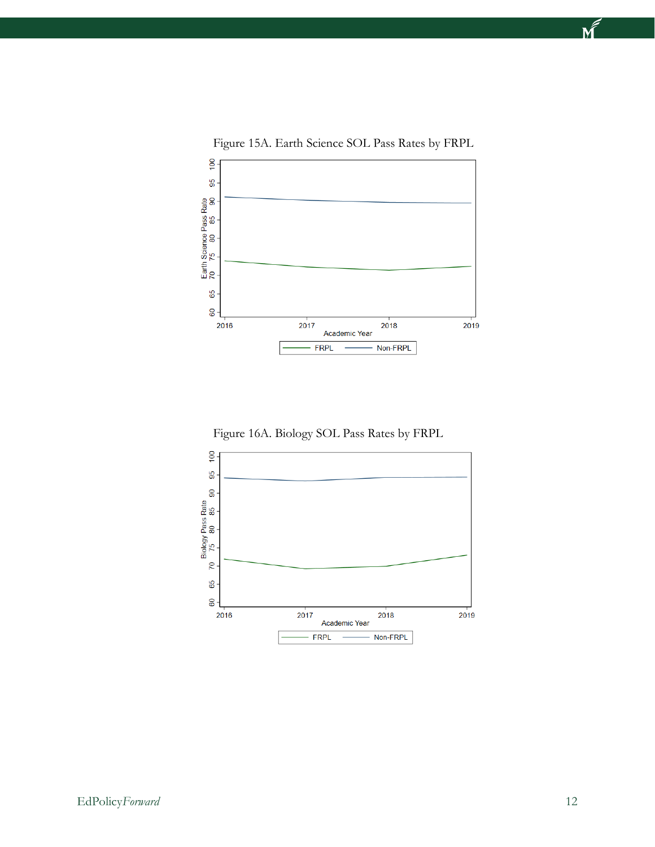

Figure 15A. Earth Science SOL Pass Rates by FRPL

Figure 16A. Biology SOL Pass Rates by FRPL

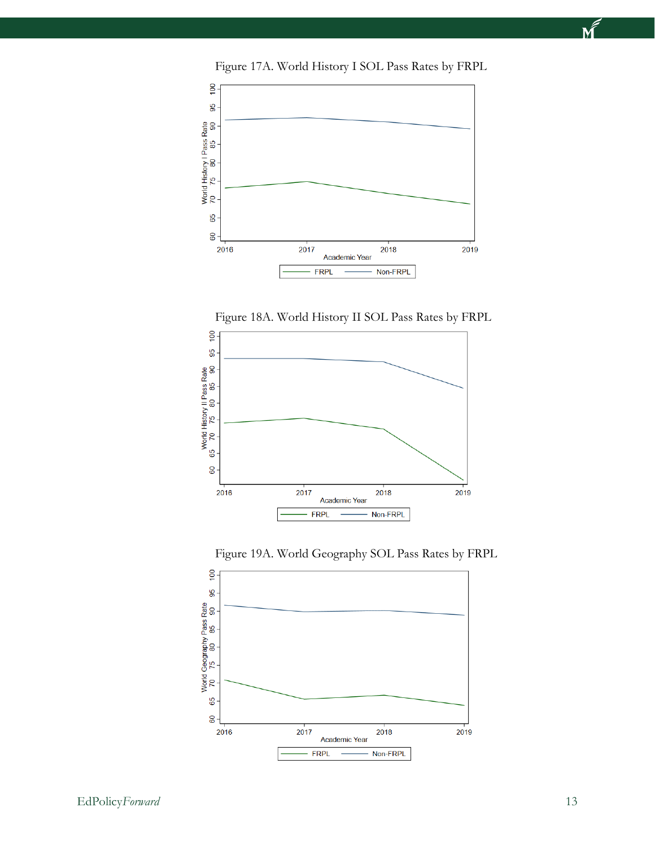









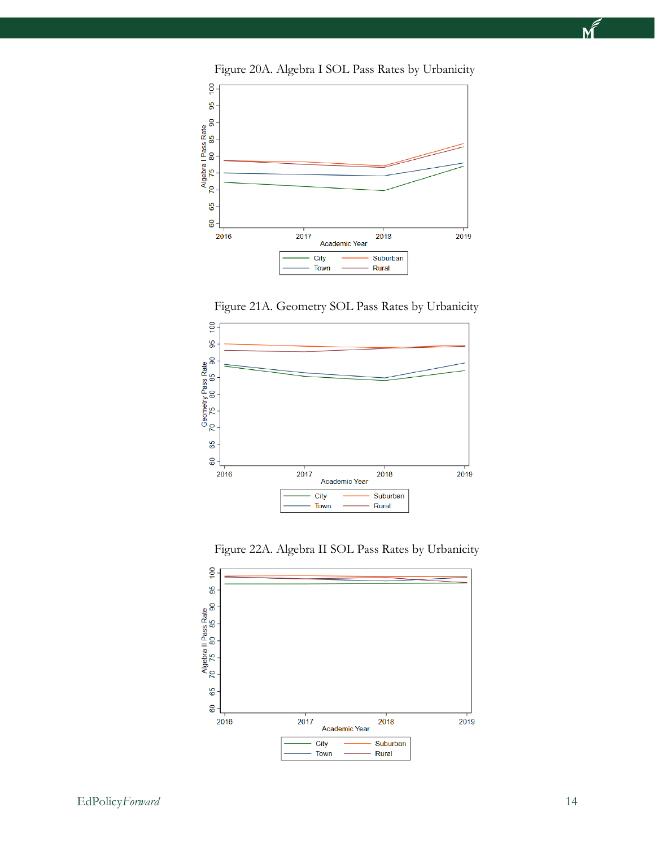







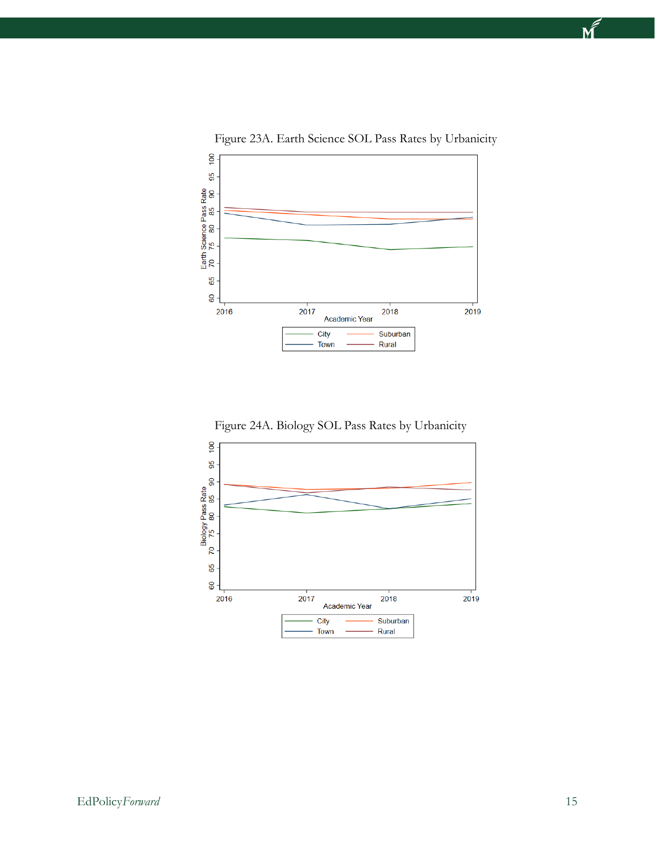

Figure 23A. Earth Science SOL Pass Rates by Urbanicity

Figure 24A. Biology SOL Pass Rates by Urbanicity